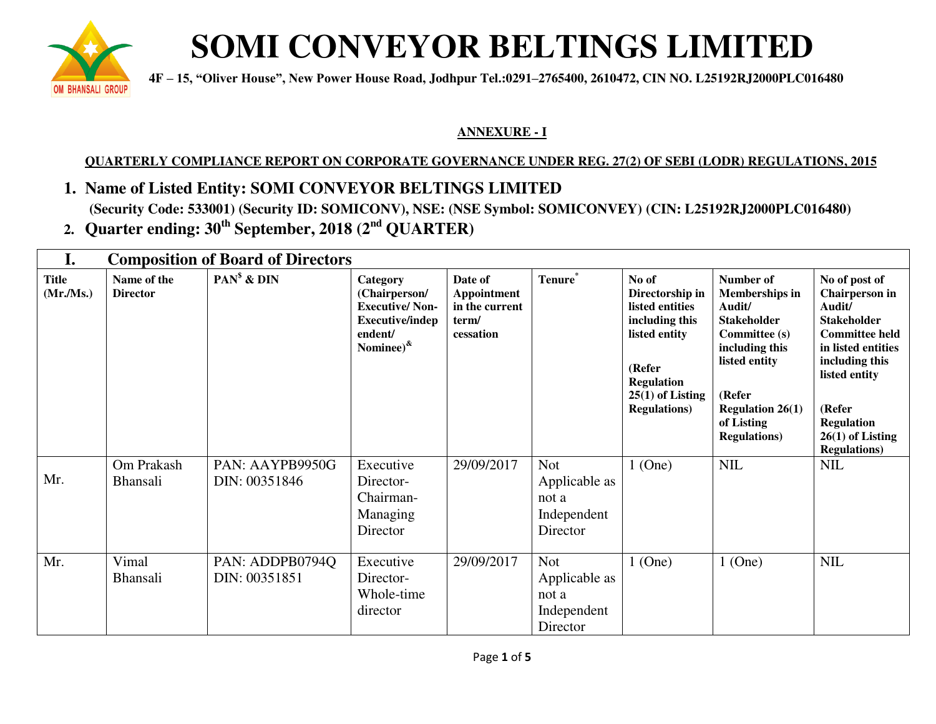

## **SOMI CONVEYOR BELTINGS LIMITED**

 **are about a**  $4F - 15$ , "Oliver House", New Power House Road, Jodhpur Tel.:0291–2765400, 2610472, CIN NO. L25192RJ2000PLC016480

### **ANNEXURE - I**

### **QUARTERLY COMPLIANCE REPORT ON CORPORATE GOVERNANCE UNDER REG. 27(2) OF SEBI (LODR) REGULATIONS, 2015**

- **1. Name of Listed Entity: SOMI CONVEYOR BELTINGS LIMITED (Security Code: 533001) (Security ID: SOMICONV), NSE: (NSE Symbol: SOMICONVEY) (CIN: L25192RJ2000PLC016480)**
- **2. Quarter ending: 30th September, 2018 (2nd QUARTER)**

| I.                       | <b>Composition of Board of Directors</b> |                                  |                                                                                                             |                                                                       |                                                                 |                                                                                                                                                             |                                                                                                                                                                                                          |                                                                                                                                                                                                                                       |
|--------------------------|------------------------------------------|----------------------------------|-------------------------------------------------------------------------------------------------------------|-----------------------------------------------------------------------|-----------------------------------------------------------------|-------------------------------------------------------------------------------------------------------------------------------------------------------------|----------------------------------------------------------------------------------------------------------------------------------------------------------------------------------------------------------|---------------------------------------------------------------------------------------------------------------------------------------------------------------------------------------------------------------------------------------|
| <b>Title</b><br>(Mr/Ms.) | Name of the<br><b>Director</b>           | $PAN^{\$}$ & $DIN$               | Category<br>(Chairperson/<br><b>Executive/Non-</b><br><b>Executive/indep</b><br>endent/<br>Nominee) $^{\&}$ | Date of<br><b>Appointment</b><br>in the current<br>term/<br>cessation | Tenure*                                                         | No of<br>Directorship in<br>listed entities<br>including this<br>listed entity<br>(Refer<br><b>Regulation</b><br>$25(1)$ of Listing<br><b>Regulations</b> ) | Number of<br><b>Memberships in</b><br>Audit/<br><b>Stakeholder</b><br><b>Committee (s)</b><br>including this<br>listed entity<br>(Refer<br><b>Regulation 26(1)</b><br>of Listing<br><b>Regulations</b> ) | No of post of<br><b>Chairperson</b> in<br>Audit/<br><b>Stakeholder</b><br><b>Committee held</b><br>in listed entities<br>including this<br>listed entity<br>(Refer<br><b>Regulation</b><br>$26(1)$ of Listing<br><b>Regulations</b> ) |
| Mr.                      | Om Prakash<br><b>Bhansali</b>            | PAN: AAYPB9950G<br>DIN: 00351846 | Executive<br>Director-<br>Chairman-<br>Managing<br>Director                                                 | 29/09/2017                                                            | <b>Not</b><br>Applicable as<br>not a<br>Independent<br>Director | $1$ (One)                                                                                                                                                   | <b>NIL</b>                                                                                                                                                                                               | <b>NIL</b>                                                                                                                                                                                                                            |
| Mr.                      | Vimal<br>Bhansali                        | PAN: ADDPB0794Q<br>DIN: 00351851 | Executive<br>Director-<br>Whole-time<br>director                                                            | 29/09/2017                                                            | <b>Not</b><br>Applicable as<br>not a<br>Independent<br>Director | $1$ (One)                                                                                                                                                   | $1$ (One)                                                                                                                                                                                                | <b>NIL</b>                                                                                                                                                                                                                            |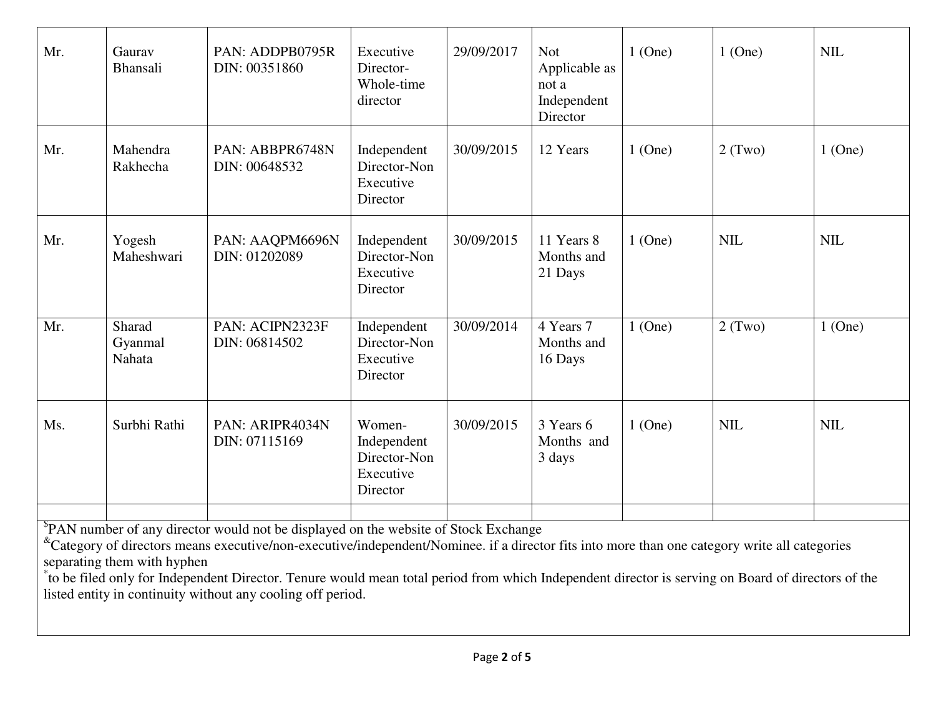| Mr.                                                                                                                                                                                                                                                                                                                                                                                                                                     | Gaurav<br>Bhansali          | PAN: ADDPB0795R<br>DIN: 00351860 | Executive<br>Director-<br>Whole-time<br>director               | 29/09/2017 | <b>Not</b><br>Applicable as<br>not a<br>Independent<br>Director | $1$ (One) | $1$ (One)  | <b>NIL</b> |
|-----------------------------------------------------------------------------------------------------------------------------------------------------------------------------------------------------------------------------------------------------------------------------------------------------------------------------------------------------------------------------------------------------------------------------------------|-----------------------------|----------------------------------|----------------------------------------------------------------|------------|-----------------------------------------------------------------|-----------|------------|------------|
| Mr.                                                                                                                                                                                                                                                                                                                                                                                                                                     | Mahendra<br>Rakhecha        | PAN: ABBPR6748N<br>DIN: 00648532 | Independent<br>Director-Non<br>Executive<br>Director           | 30/09/2015 | 12 Years                                                        | $1$ (One) | $2$ (Two)  | $1$ (One)  |
| Mr.                                                                                                                                                                                                                                                                                                                                                                                                                                     | Yogesh<br>Maheshwari        | PAN: AAQPM6696N<br>DIN: 01202089 | Independent<br>Director-Non<br>Executive<br>Director           | 30/09/2015 | 11 Years 8<br>Months and<br>21 Days                             | $1$ (One) | <b>NIL</b> | <b>NIL</b> |
| Mr.                                                                                                                                                                                                                                                                                                                                                                                                                                     | Sharad<br>Gyanmal<br>Nahata | PAN: ACIPN2323F<br>DIN: 06814502 | Independent<br>Director-Non<br>Executive<br>Director           | 30/09/2014 | 4 Years 7<br>Months and<br>16 Days                              | $1$ (One) | 2(Two)     | $1$ (One)  |
| Ms.                                                                                                                                                                                                                                                                                                                                                                                                                                     | Surbhi Rathi                | PAN: ARIPR4034N<br>DIN: 07115169 | Women-<br>Independent<br>Director-Non<br>Executive<br>Director | 30/09/2015 | 3 Years 6<br>Months and<br>3 days                               | $1$ (One) | <b>NIL</b> | <b>NIL</b> |
| PAN number of any director would not be displayed on the website of Stock Exchange<br><sup>&amp;</sup> Category of directors means executive/non-executive/independent/Nominee. if a director fits into more than one category write all categories<br>separating them with hyphen<br>to be filed only for Independent Director. Tenure would mean total period from which Independent director is serving on Board of directors of the |                             |                                  |                                                                |            |                                                                 |           |            |            |

listed entity in continuity without any cooling off period.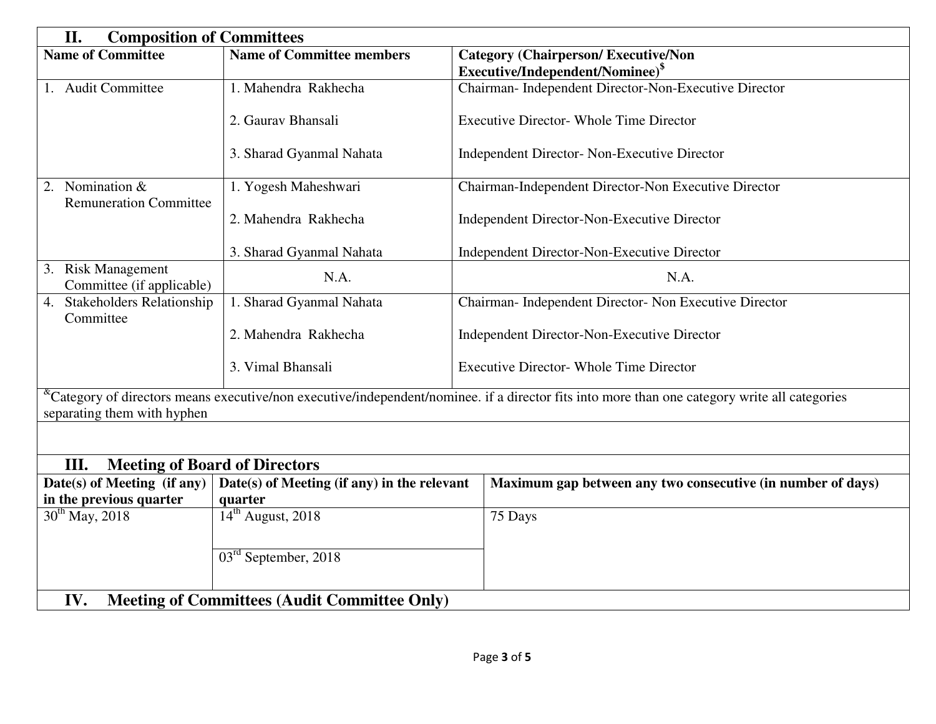| II.<br><b>Composition of Committees</b>                    |                                             |                                                                                                                                                               |  |  |  |
|------------------------------------------------------------|---------------------------------------------|---------------------------------------------------------------------------------------------------------------------------------------------------------------|--|--|--|
| <b>Name of Committee</b>                                   | <b>Name of Committee members</b>            | <b>Category (Chairperson/Executive/Non</b>                                                                                                                    |  |  |  |
|                                                            |                                             | Executive/Independent/Nominee) <sup>\$</sup>                                                                                                                  |  |  |  |
| 1. Audit Committee                                         | 1. Mahendra Rakhecha                        | Chairman- Independent Director-Non-Executive Director                                                                                                         |  |  |  |
|                                                            | 2. Gauray Bhansali                          | <b>Executive Director- Whole Time Director</b>                                                                                                                |  |  |  |
|                                                            | 3. Sharad Gyanmal Nahata                    | Independent Director- Non-Executive Director                                                                                                                  |  |  |  |
| 2. Nomination &<br><b>Remuneration Committee</b>           | 1. Yogesh Maheshwari                        | Chairman-Independent Director-Non Executive Director                                                                                                          |  |  |  |
|                                                            | 2. Mahendra Rakhecha                        | Independent Director-Non-Executive Director                                                                                                                   |  |  |  |
|                                                            | 3. Sharad Gyanmal Nahata                    | Independent Director-Non-Executive Director                                                                                                                   |  |  |  |
| 3. Risk Management<br>Committee (if applicable)            | N.A.                                        | N.A.                                                                                                                                                          |  |  |  |
| <b>Stakeholders Relationship</b><br>4.<br>Committee        | 1. Sharad Gyanmal Nahata                    | Chairman- Independent Director- Non Executive Director                                                                                                        |  |  |  |
|                                                            | 2. Mahendra Rakhecha                        | Independent Director-Non-Executive Director                                                                                                                   |  |  |  |
|                                                            | 3. Vimal Bhansali                           | <b>Executive Director- Whole Time Director</b>                                                                                                                |  |  |  |
| separating them with hyphen                                |                                             | <sup>&amp;</sup> Category of directors means executive/non executive/independent/nominee. if a director fits into more than one category write all categories |  |  |  |
|                                                            |                                             |                                                                                                                                                               |  |  |  |
| <b>Meeting of Board of Directors</b><br>III.               |                                             |                                                                                                                                                               |  |  |  |
| Date(s) of Meeting (if any)                                | Date(s) of Meeting (if any) in the relevant | Maximum gap between any two consecutive (in number of days)                                                                                                   |  |  |  |
| in the previous quarter                                    | quarter                                     |                                                                                                                                                               |  |  |  |
| $30^{th}$ May, 2018                                        | $14th$ August, 2018                         | 75 Days                                                                                                                                                       |  |  |  |
|                                                            | $03rd$ September, 2018                      |                                                                                                                                                               |  |  |  |
| IV.<br><b>Meeting of Committees (Audit Committee Only)</b> |                                             |                                                                                                                                                               |  |  |  |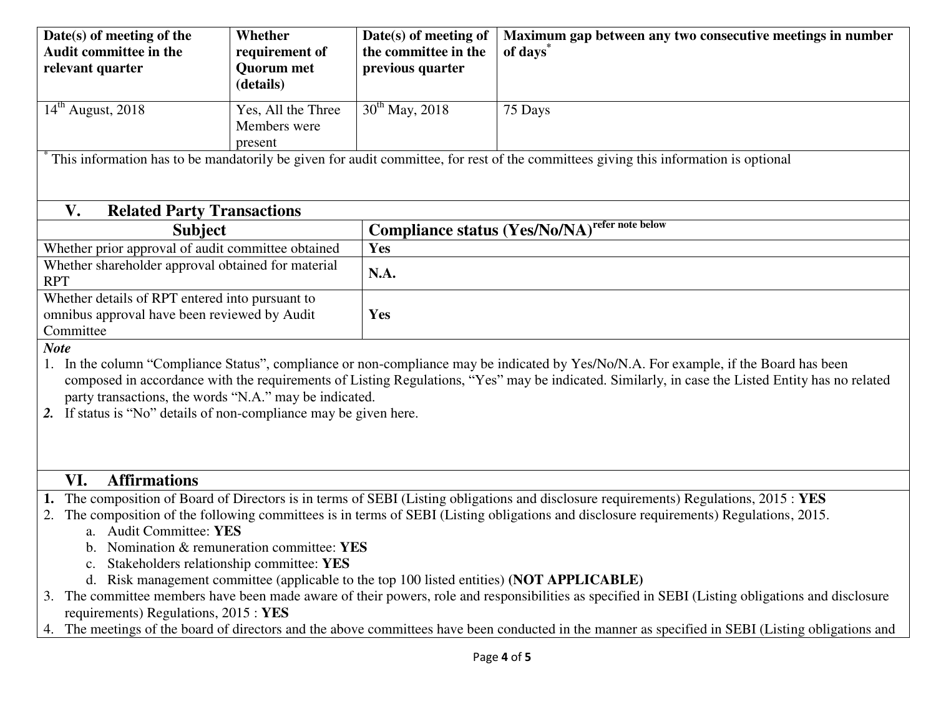| $30^{th}$ May, 2018<br>$14th$ August, 2018<br>Yes, All the Three<br>75 Days<br>Members were<br>present<br>This information has to be mandatorily be given for audit committee, for rest of the committees giving this information is optional<br>V.<br><b>Related Party Transactions</b><br><b>Compliance status (Yes/No/NA)</b> refer note below<br><b>Subject</b><br>Whether prior approval of audit committee obtained<br>Yes<br>Whether shareholder approval obtained for material<br>N.A.<br><b>RPT</b><br>Whether details of RPT entered into pursuant to<br>omnibus approval have been reviewed by Audit<br>Yes<br>Committee<br><b>Note</b>                                             | Date(s) of meeting of the<br><b>Audit committee in the</b><br>relevant quarter | Whether<br>requirement of<br><b>Quorum</b> met<br>(details) | Date(s) of meeting of<br>the committee in the<br>previous quarter | Maximum gap between any two consecutive meetings in number<br>of days <sup>®</sup> |  |  |  |  |
|------------------------------------------------------------------------------------------------------------------------------------------------------------------------------------------------------------------------------------------------------------------------------------------------------------------------------------------------------------------------------------------------------------------------------------------------------------------------------------------------------------------------------------------------------------------------------------------------------------------------------------------------------------------------------------------------|--------------------------------------------------------------------------------|-------------------------------------------------------------|-------------------------------------------------------------------|------------------------------------------------------------------------------------|--|--|--|--|
|                                                                                                                                                                                                                                                                                                                                                                                                                                                                                                                                                                                                                                                                                                |                                                                                |                                                             |                                                                   |                                                                                    |  |  |  |  |
|                                                                                                                                                                                                                                                                                                                                                                                                                                                                                                                                                                                                                                                                                                |                                                                                |                                                             |                                                                   |                                                                                    |  |  |  |  |
|                                                                                                                                                                                                                                                                                                                                                                                                                                                                                                                                                                                                                                                                                                |                                                                                |                                                             |                                                                   |                                                                                    |  |  |  |  |
|                                                                                                                                                                                                                                                                                                                                                                                                                                                                                                                                                                                                                                                                                                |                                                                                |                                                             |                                                                   |                                                                                    |  |  |  |  |
|                                                                                                                                                                                                                                                                                                                                                                                                                                                                                                                                                                                                                                                                                                |                                                                                |                                                             |                                                                   |                                                                                    |  |  |  |  |
|                                                                                                                                                                                                                                                                                                                                                                                                                                                                                                                                                                                                                                                                                                |                                                                                |                                                             |                                                                   |                                                                                    |  |  |  |  |
|                                                                                                                                                                                                                                                                                                                                                                                                                                                                                                                                                                                                                                                                                                |                                                                                |                                                             |                                                                   |                                                                                    |  |  |  |  |
|                                                                                                                                                                                                                                                                                                                                                                                                                                                                                                                                                                                                                                                                                                |                                                                                |                                                             |                                                                   |                                                                                    |  |  |  |  |
|                                                                                                                                                                                                                                                                                                                                                                                                                                                                                                                                                                                                                                                                                                |                                                                                |                                                             |                                                                   |                                                                                    |  |  |  |  |
| In the column "Compliance Status", compliance or non-compliance may be indicated by Yes/No/N.A. For example, if the Board has been<br>composed in accordance with the requirements of Listing Regulations, "Yes" may be indicated. Similarly, in case the Listed Entity has no related<br>party transactions, the words "N.A." may be indicated.<br>If status is "No" details of non-compliance may be given here.                                                                                                                                                                                                                                                                             |                                                                                |                                                             |                                                                   |                                                                                    |  |  |  |  |
| <b>Affirmations</b><br>VI.                                                                                                                                                                                                                                                                                                                                                                                                                                                                                                                                                                                                                                                                     |                                                                                |                                                             |                                                                   |                                                                                    |  |  |  |  |
| The composition of Board of Directors is in terms of SEBI (Listing obligations and disclosure requirements) Regulations, 2015: YES<br>The composition of the following committees is in terms of SEBI (Listing obligations and disclosure requirements) Regulations, 2015.<br>2.<br>a. Audit Committee: YES<br>b. Nomination & remuneration committee: YES<br>Stakeholders relationship committee: YES<br>d. Risk management committee (applicable to the top 100 listed entities) (NOT APPLICABLE)<br>The committee members have been made aware of their powers, role and responsibilities as specified in SEBI (Listing obligations and disclosure<br>requirements) Regulations, 2015 : YES |                                                                                |                                                             |                                                                   |                                                                                    |  |  |  |  |
| The meetings of the board of directors and the above committees have been conducted in the manner as specified in SEBI (Listing obligations and<br>4.                                                                                                                                                                                                                                                                                                                                                                                                                                                                                                                                          |                                                                                |                                                             |                                                                   |                                                                                    |  |  |  |  |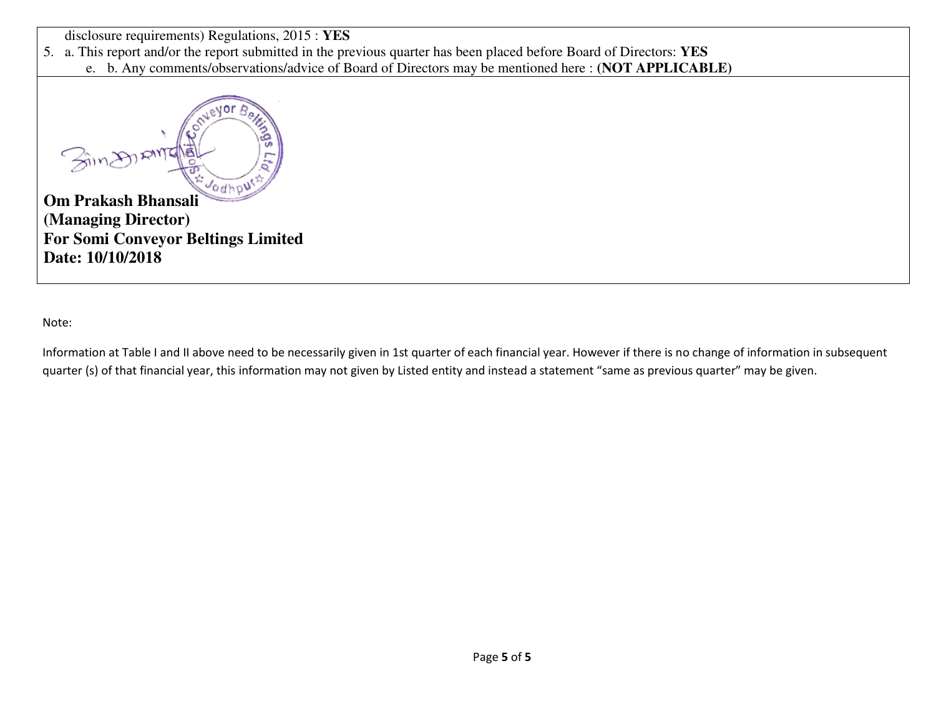disclosure requirements) Regulations, 2015 : **YES**

5. a. This report and/or the report submitted in the previous quarter has been placed before Board of Directors: **YES**

e. b. Any comments/observations/advice of Board of Directors may be mentioned here : **(NOT APPLICABLE)**



**(Managing Director) For Somi Conveyor Beltings Limited Date: 10/10/2018** 

Note:

Information at Table I and II above need to be necessarily given in 1st quarter of each financial year. However if there is no change of information in subsequent quarter (s) of that financial year, this information may not given by Listed entity and instead a statement "same as previous quarter" may be given.